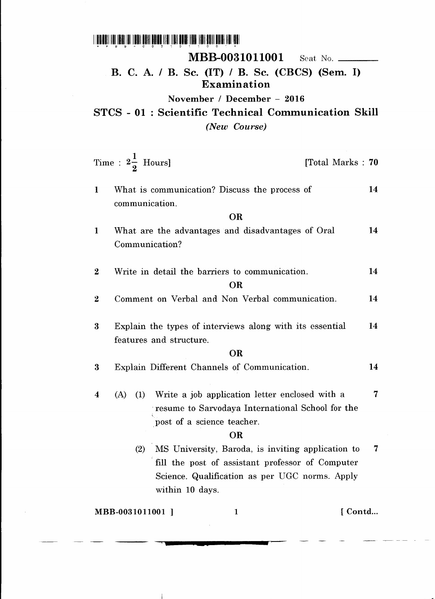1 11111111111111111111111111111111111111111 litilllill 1111111111111111111111111111 \*I"BB-0031G1~OO'\*

 $\mathbf{I}$ 

## MBB-0031011001 Seat No. \_\_\_\_\_\_\_

## B. C. A. / B. Sc. (IT) / B. Sc. (CBCS) (Sem, I) Examination

November / December - 2016

STCS - 01 : Scientific Technical Communication Skill *(New Course)*

|                                            | Time : $2\frac{1}{2}$ Hours]                     |                                                          |  | [Total Marks: 70] |    |
|--------------------------------------------|--------------------------------------------------|----------------------------------------------------------|--|-------------------|----|
| $\mathbf{1}$                               | communication.                                   | What is communication? Discuss the process of            |  |                   | 14 |
| <b>OR</b>                                  |                                                  |                                                          |  |                   |    |
| $\mathbf{1}$                               | Communication?                                   | What are the advantages and disadvantages of Oral        |  |                   | 14 |
| $\boldsymbol{2}$                           |                                                  | Write in detail the barriers to communication.           |  |                   | 14 |
| OR                                         |                                                  |                                                          |  |                   |    |
| $\boldsymbol{2}$                           |                                                  | Comment on Verbal and Non Verbal communication.          |  |                   | 14 |
| $\bf{3}$                                   |                                                  | Explain the types of interviews along with its essential |  |                   | 14 |
| features and structure.                    |                                                  |                                                          |  |                   |    |
| <b>OR</b>                                  |                                                  |                                                          |  |                   |    |
| 3                                          |                                                  | Explain Different Channels of Communication.             |  |                   | 14 |
| $\boldsymbol{4}$                           | (A)                                              | (1) Write a job application letter enclosed with a       |  |                   | 7  |
|                                            |                                                  | resume to Sarvodaya International School for the         |  |                   |    |
|                                            | post of a science teacher.                       |                                                          |  |                   |    |
| <b>OR</b>                                  |                                                  |                                                          |  |                   |    |
|                                            | (2)                                              | MS University, Baroda, is inviting application to        |  |                   | 7  |
|                                            | fill the post of assistant professor of Computer |                                                          |  |                   |    |
|                                            | Science. Qualification as per UGC norms. Apply   |                                                          |  |                   |    |
|                                            |                                                  | within 10 days.                                          |  |                   |    |
| $\mathbf{1}$<br>[Contd<br>MBB-0031011001 ] |                                                  |                                                          |  |                   |    |